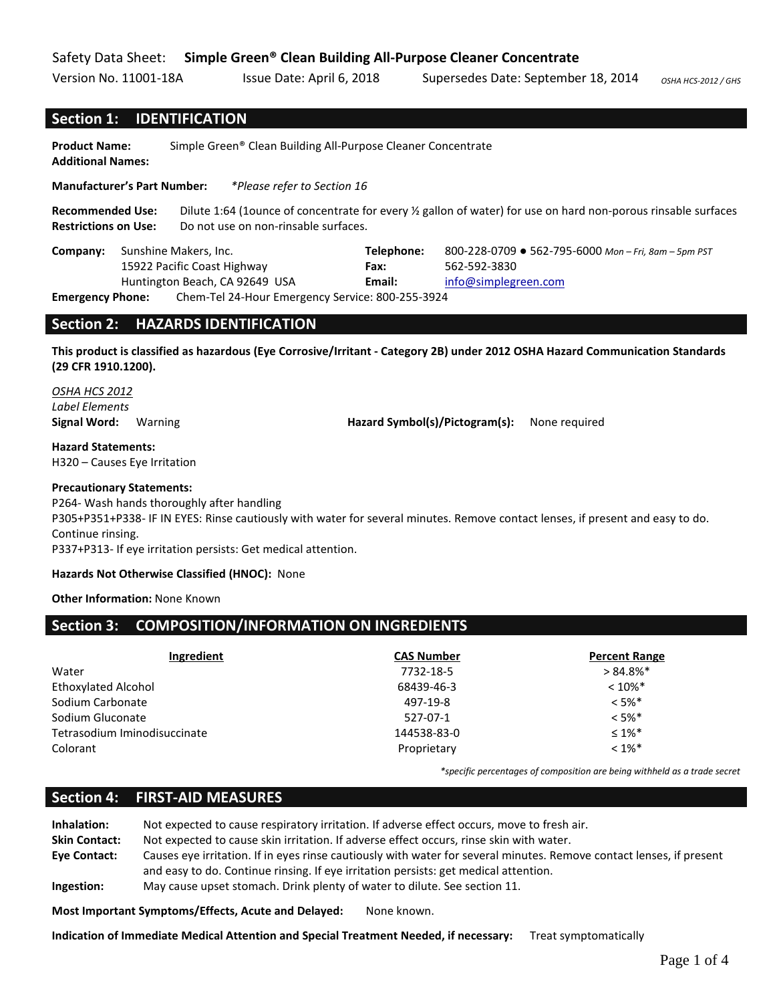### Safety Data Sheet: **Simple Green® Clean Building All-Purpose Cleaner Concentrate**

Version No. 11001-18A Issue Date: April 6, 2018 Supersedes Date: September 18, 2014 *OSHA HCS-2012 / GHS* 

#### **Section 1: IDENTIFICATION**

**Product Name:** Simple Green® Clean Building All-Purpose Cleaner Concentrate **Additional Names:** 

**Manufacturer's Part Number:** *\*Please refer to Section 16*

**Recommended Use:** Dilute 1:64 (1ounce of concentrate for every ½ gallon of water) for use on hard non-porous rinsable surfaces **Restrictions on Use:** Do not use on non-rinsable surfaces.

|                  | <b>Company:</b> Sunshine Makers, Inc. |                                                  | Telephone: | 800-228-0709 ● 562-795-6000 Mon - Fri, 8am - 5pm PST |  |
|------------------|---------------------------------------|--------------------------------------------------|------------|------------------------------------------------------|--|
|                  | 15922 Pacific Coast Highway           |                                                  | Fax:       | 562-592-3830                                         |  |
|                  | Huntington Beach, CA 92649 USA        |                                                  | Email:     | info@simplegreen.com                                 |  |
| Emargancy Dhono: |                                       | Cham Tol 24 Hour Emergancy Cantico: 900 255 2024 |            |                                                      |  |

**Emergency Phone:** Chem-Tel 24-Hour Emergency Service: 800-255-3924

### **Section 2: HAZARDS IDENTIFICATION**

**This product is classified as hazardous (Eye Corrosive/Irritant - Category 2B) under 2012 OSHA Hazard Communication Standards (29 CFR 1910.1200).**

# *OSHA HCS 2012 Label Elements*

**Signal Word:** Warning **Hazard Symbol(s)/Pictogram(s):** None required

**Hazard Statements:** H320 – Causes Eye Irritation

#### **Precautionary Statements:**

P264- Wash hands thoroughly after handling

P305+P351+P338- IF IN EYES: Rinse cautiously with water for several minutes. Remove contact lenses, if present and easy to do. Continue rinsing.

P337+P313- If eye irritation persists: Get medical attention.

#### **Hazards Not Otherwise Classified (HNOC):** None

**Other Information:** None Known

### **Section 3: COMPOSITION/INFORMATION ON INGREDIENTS**

| Ingredient                   | <b>CAS Number</b> | <b>Percent Range</b> |
|------------------------------|-------------------|----------------------|
| Water                        | 7732-18-5         | $>84.8\%$ *          |
| <b>Ethoxylated Alcohol</b>   | 68439-46-3        | $< 10\%$ *           |
| Sodium Carbonate             | 497-19-8          | $< 5\%$ *            |
| Sodium Gluconate             | 527-07-1          | $< 5\%$ *            |
| Tetrasodium Iminodisuccinate | 144538-83-0       | $\leq 1\%$ *         |
| Colorant                     | Proprietary       | $< 1\%$ *            |

*\*specific percentages of composition are being withheld as a trade secret*

### **Section 4: FIRST-AID MEASURES**

**Inhalation:** Not expected to cause respiratory irritation. If adverse effect occurs, move to fresh air. **Skin Contact:** Not expected to cause skin irritation. If adverse effect occurs, rinse skin with water. **Eye Contact:** Causes eye irritation. If in eyes rinse cautiously with water for several minutes. Remove contact lenses, if present and easy to do. Continue rinsing. If eye irritation persists: get medical attention. **Ingestion:** May cause upset stomach. Drink plenty of water to dilute. See section 11.

**Most Important Symptoms/Effects, Acute and Delayed:** None known.

**Indication of Immediate Medical Attention and Special Treatment Needed, if necessary:** Treat symptomatically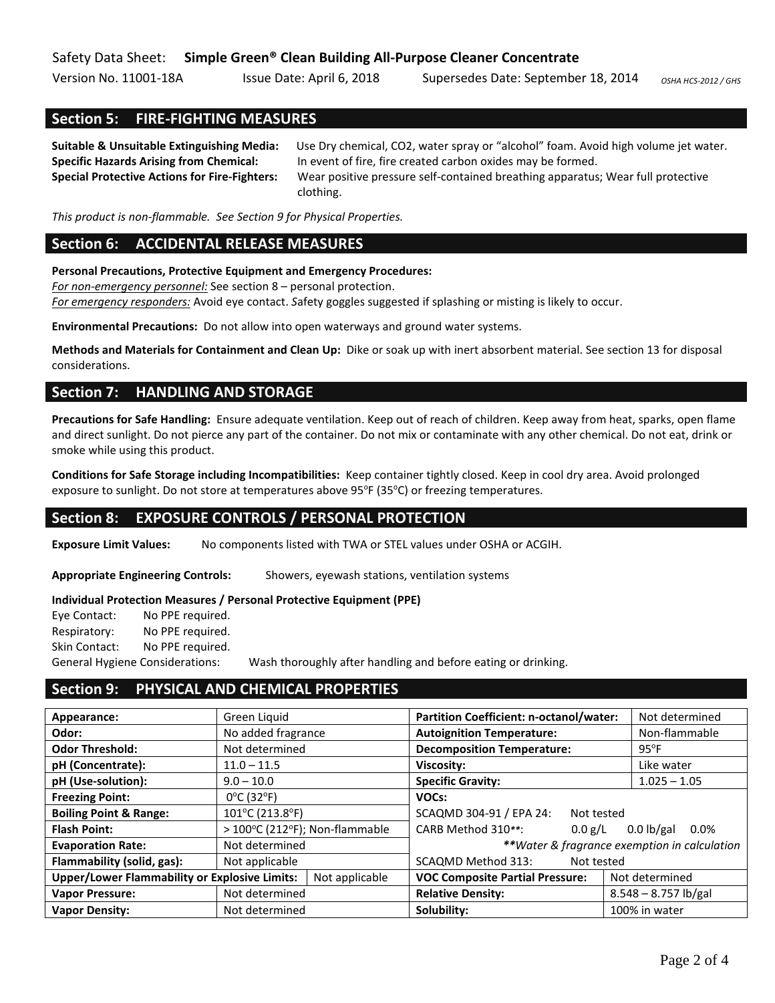Version No. 11001-18A Issue Date: April 6, 2018 Supersedes Date: September 18, 2014 OSHA HCS-2012 / GHS

### **Section 5: FIRE-FIGHTING MEASURES**

**Suitable & Unsuitable Extinguishing Media:** Use Dry chemical, CO2, water spray or "alcohol" foam. Avoid high volume jet water. **Specific Hazards Arising from Chemical:** In event of fire, fire created carbon oxides may be formed. **Special Protective Actions for Fire-Fighters:** Wear positive pressure self-contained breathing apparatus; Wear full protective clothing.

*This product is non-flammable. See Section 9 for Physical Properties.*

# **Section 6: ACCIDENTAL RELEASE MEASURES**

**Personal Precautions, Protective Equipment and Emergency Procedures:** 

*For non-emergency personnel:* See section 8 – personal protection.

*For emergency responders:* Avoid eye contact. *S*afety goggles suggested if splashing or misting is likely to occur.

**Environmental Precautions:** Do not allow into open waterways and ground water systems.

**Methods and Materials for Containment and Clean Up:** Dike or soak up with inert absorbent material. See section 13 for disposal considerations.

### **Section 7: HANDLING AND STORAGE**

**Precautions for Safe Handling:** Ensure adequate ventilation. Keep out of reach of children. Keep away from heat, sparks, open flame and direct sunlight. Do not pierce any part of the container. Do not mix or contaminate with any other chemical. Do not eat, drink or smoke while using this product.

**Conditions for Safe Storage including Incompatibilities:** Keep container tightly closed. Keep in cool dry area. Avoid prolonged exposure to sunlight. Do not store at temperatures above 95°F (35°C) or freezing temperatures.

# **Section 8: EXPOSURE CONTROLS / PERSONAL PROTECTION**

**Exposure Limit Values:** No components listed with TWA or STEL values under OSHA or ACGIH.

**Appropriate Engineering Controls:** Showers, eyewash stations, ventilation systems

#### **Individual Protection Measures / Personal Protective Equipment (PPE)**

| Eye Contact:                    | No PPE required. |  |  |
|---------------------------------|------------------|--|--|
| Respiratory:                    | No PPE required. |  |  |
| Skin Contact:                   | No PPE required. |  |  |
| General Hygiene Considerations: |                  |  |  |

General Hygiene Considerations: Wash thoroughly after handling and before eating or drinking.

# **Section 9: PHYSICAL AND CHEMICAL PROPERTIES**

| Appearance:                                                            | Green Liquid                    | Partition Coefficient: n-octanol/water:                  | Not determined                               |
|------------------------------------------------------------------------|---------------------------------|----------------------------------------------------------|----------------------------------------------|
| Odor:                                                                  | No added fragrance              | <b>Autoignition Temperature:</b>                         | Non-flammable                                |
| <b>Odor Threshold:</b>                                                 | Not determined                  | <b>Decomposition Temperature:</b>                        | $95^{\circ}$ F                               |
| pH (Concentrate):                                                      | $11.0 - 11.5$                   | Viscosity:                                               | Like water                                   |
| pH (Use-solution):                                                     | $9.0 - 10.0$                    | <b>Specific Gravity:</b>                                 | $1.025 - 1.05$                               |
| <b>Freezing Point:</b>                                                 | $0^{\circ}$ C (32 $^{\circ}$ F) | VOCs:                                                    |                                              |
| <b>Boiling Point &amp; Range:</b>                                      | 101°C (213.8°F)                 | SCAQMD 304-91 / EPA 24:<br>Not tested                    |                                              |
| <b>Flash Point:</b>                                                    | > 100°C (212°F); Non-flammable  | CARB Method 310**:<br>0.0 g/L                            | $0.0$ lb/gal<br>$0.0\%$                      |
| <b>Evaporation Rate:</b>                                               | Not determined                  |                                                          | **Water & fragrance exemption in calculation |
| Flammability (solid, gas):                                             | Not applicable                  | SCAQMD Method 313:<br>Not tested                         |                                              |
| <b>Upper/Lower Flammability or Explosive Limits:</b><br>Not applicable |                                 | <b>VOC Composite Partial Pressure:</b><br>Not determined |                                              |
| <b>Vapor Pressure:</b>                                                 | Not determined                  | <b>Relative Density:</b>                                 | $8.548 - 8.757$ lb/gal                       |
| <b>Vapor Density:</b>                                                  | Not determined                  | Solubility:                                              | 100% in water                                |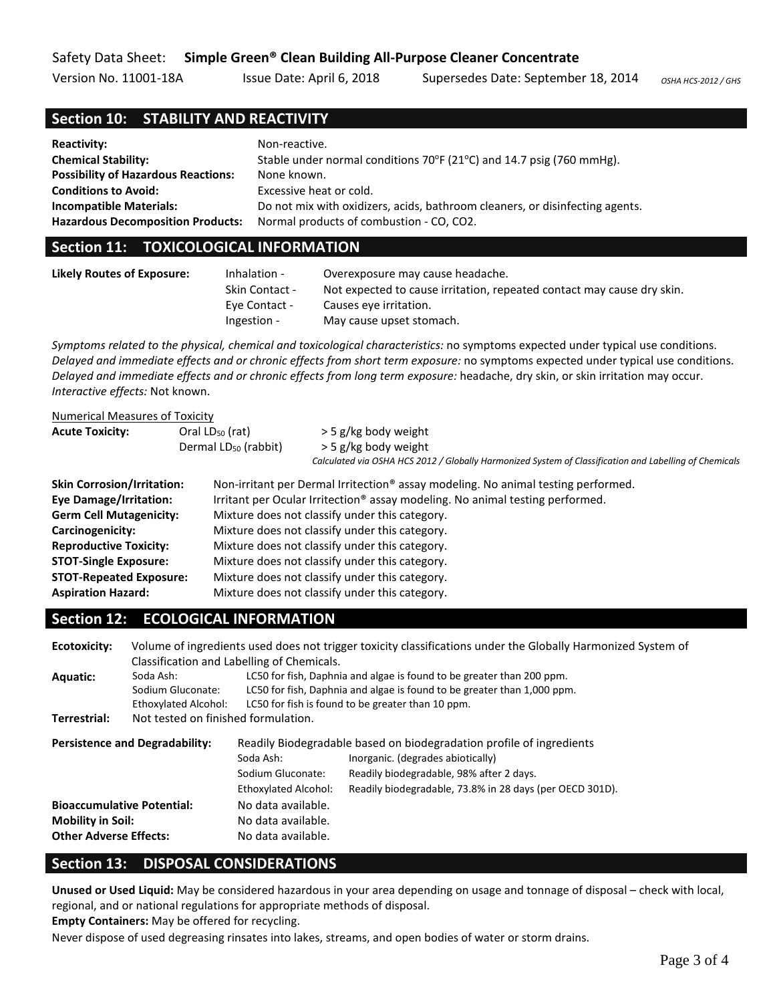# Safety Data Sheet: **Simple Green® Clean Building All-Purpose Cleaner Concentrate**

Version No. 11001-18A Issue Date: April 6, 2018 Supersedes Date: September 18, 2014 OSHA HCS-2012 / GHS

### **Section 10: STABILITY AND REACTIVITY**

| <b>Reactivity:</b>                         | Non-reactive.                                                                       |
|--------------------------------------------|-------------------------------------------------------------------------------------|
| <b>Chemical Stability:</b>                 | Stable under normal conditions $70^{\circ}F(21^{\circ}C)$ and 14.7 psig (760 mmHg). |
| <b>Possibility of Hazardous Reactions:</b> | None known.                                                                         |
| <b>Conditions to Avoid:</b>                | Excessive heat or cold.                                                             |
| <b>Incompatible Materials:</b>             | Do not mix with oxidizers, acids, bathroom cleaners, or disinfecting agents.        |
| <b>Hazardous Decomposition Products:</b>   | Normal products of combustion - CO, CO2.                                            |

### **Section 11: TOXICOLOGICAL INFORMATION**

| Likely Routes of Exposure: | Inhalation -<br>Skin Contact - | Overexposure may cause headache.<br>Not expected to cause irritation, repeated contact may cause dry skin. |
|----------------------------|--------------------------------|------------------------------------------------------------------------------------------------------------|
|                            | <b>Eve Contact -</b>           | Causes eye irritation.                                                                                     |
|                            | Ingestion -                    | May cause upset stomach.                                                                                   |

*Symptoms related to the physical, chemical and toxicological characteristics:* no symptoms expected under typical use conditions. *Delayed and immediate effects and or chronic effects from short term exposure:* no symptoms expected under typical use conditions. *Delayed and immediate effects and or chronic effects from long term exposure:* headache, dry skin, or skin irritation may occur. *Interactive effects:* Not known.

| <b>Numerical Measures of Toxicity</b> |                                  |                                                                                                                                |  |  |
|---------------------------------------|----------------------------------|--------------------------------------------------------------------------------------------------------------------------------|--|--|
| <b>Acute Toxicity:</b>                | Oral $LD_{50}$ (rat)             | $>$ 5 g/kg body weight                                                                                                         |  |  |
|                                       | Dermal LD <sub>50</sub> (rabbit) | > 5 g/kg body weight<br>Calculated via OSHA HCS 2012 / Globally Harmonized System of Classification and Labelling of Chemicals |  |  |
| <b>Skin Corrosion/Irritation:</b>     |                                  | Non-irritant per Dermal Irritection® assay modeling. No animal testing performed.                                              |  |  |
| <b>Eye Damage/Irritation:</b>         |                                  | Irritant per Ocular Irritection <sup>®</sup> assay modeling. No animal testing performed.                                      |  |  |
| <b>Germ Cell Mutagenicity:</b>        |                                  | Mixture does not classify under this category.                                                                                 |  |  |
| Carcinogenicity:                      |                                  | Mixture does not classify under this category.                                                                                 |  |  |
| <b>Reproductive Toxicity:</b>         |                                  | Mixture does not classify under this category.                                                                                 |  |  |
| <b>STOT-Single Exposure:</b>          |                                  | Mixture does not classify under this category.                                                                                 |  |  |
| <b>STOT-Repeated Exposure:</b>        |                                  | Mixture does not classify under this category.                                                                                 |  |  |
| <b>Aspiration Hazard:</b>             |                                  | Mixture does not classify under this category.                                                                                 |  |  |

# **Section 12: ECOLOGICAL INFORMATION**

| <b>Ecotoxicity:</b>                   | Volume of ingredients used does not trigger toxicity classifications under the Globally Harmonized System of |                                                                       |                                                                         |  |
|---------------------------------------|--------------------------------------------------------------------------------------------------------------|-----------------------------------------------------------------------|-------------------------------------------------------------------------|--|
|                                       | Classification and Labelling of Chemicals.                                                                   |                                                                       |                                                                         |  |
| <b>Aquatic:</b>                       | Soda Ash:                                                                                                    | LC50 for fish, Daphnia and algae is found to be greater than 200 ppm. |                                                                         |  |
|                                       | Sodium Gluconate:                                                                                            |                                                                       | LC50 for fish, Daphnia and algae is found to be greater than 1,000 ppm. |  |
|                                       | Ethoxylated Alcohol:                                                                                         |                                                                       | LC50 for fish is found to be greater than 10 ppm.                       |  |
| Terrestrial:                          | Not tested on finished formulation.                                                                          |                                                                       |                                                                         |  |
| <b>Persistence and Degradability:</b> |                                                                                                              | Readily Biodegradable based on biodegradation profile of ingredients  |                                                                         |  |
|                                       |                                                                                                              | Soda Ash:                                                             | Inorganic. (degrades abiotically)                                       |  |
|                                       |                                                                                                              | Sodium Gluconate:                                                     | Readily biodegradable, 98% after 2 days.                                |  |
|                                       |                                                                                                              | Ethoxylated Alcohol:                                                  | Readily biodegradable, 73.8% in 28 days (per OECD 301D).                |  |
| <b>Bioaccumulative Potential:</b>     |                                                                                                              | No data available.                                                    |                                                                         |  |
| <b>Mobility in Soil:</b>              |                                                                                                              | No data available.                                                    |                                                                         |  |
| <b>Other Adverse Effects:</b>         |                                                                                                              | No data available.                                                    |                                                                         |  |
|                                       |                                                                                                              |                                                                       |                                                                         |  |

# **Section 13: DISPOSAL CONSIDERATIONS**

**Unused or Used Liquid:** May be considered hazardous in your area depending on usage and tonnage of disposal – check with local, regional, and or national regulations for appropriate methods of disposal.

**Empty Containers:** May be offered for recycling.

Never dispose of used degreasing rinsates into lakes, streams, and open bodies of water or storm drains.